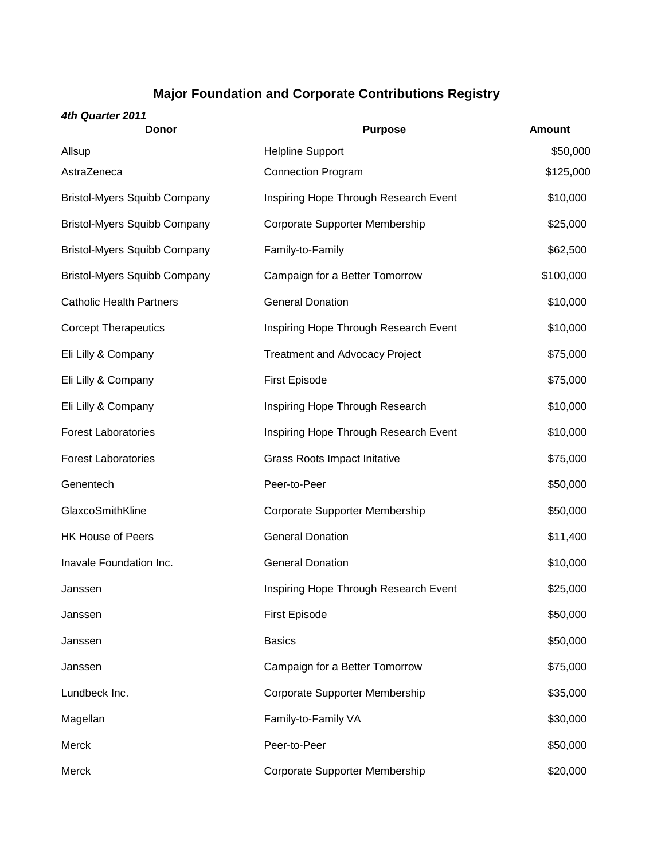## **Major Foundation and Corporate Contributions Registry**

## *4th Quarter 2011*

| <b>Donor</b>                        | <b>Purpose</b>                        | <b>Amount</b> |
|-------------------------------------|---------------------------------------|---------------|
| Allsup                              | <b>Helpline Support</b>               | \$50,000      |
| AstraZeneca                         | <b>Connection Program</b>             | \$125,000     |
| <b>Bristol-Myers Squibb Company</b> | Inspiring Hope Through Research Event | \$10,000      |
| <b>Bristol-Myers Squibb Company</b> | Corporate Supporter Membership        | \$25,000      |
| <b>Bristol-Myers Squibb Company</b> | Family-to-Family                      | \$62,500      |
| <b>Bristol-Myers Squibb Company</b> | Campaign for a Better Tomorrow        | \$100,000     |
| <b>Catholic Health Partners</b>     | <b>General Donation</b>               | \$10,000      |
| <b>Corcept Therapeutics</b>         | Inspiring Hope Through Research Event | \$10,000      |
| Eli Lilly & Company                 | <b>Treatment and Advocacy Project</b> | \$75,000      |
| Eli Lilly & Company                 | <b>First Episode</b>                  | \$75,000      |
| Eli Lilly & Company                 | Inspiring Hope Through Research       | \$10,000      |
| <b>Forest Laboratories</b>          | Inspiring Hope Through Research Event | \$10,000      |
| <b>Forest Laboratories</b>          | <b>Grass Roots Impact Initative</b>   | \$75,000      |
| Genentech                           | Peer-to-Peer                          | \$50,000      |
| GlaxcoSmithKline                    | Corporate Supporter Membership        | \$50,000      |
| <b>HK House of Peers</b>            | <b>General Donation</b>               | \$11,400      |
| Inavale Foundation Inc.             | <b>General Donation</b>               | \$10,000      |
| Janssen                             | Inspiring Hope Through Research Event | \$25,000      |
| Janssen                             | <b>First Episode</b>                  | \$50,000      |
| Janssen                             | <b>Basics</b>                         | \$50,000      |
| Janssen                             | Campaign for a Better Tomorrow        | \$75,000      |
| Lundbeck Inc.                       | Corporate Supporter Membership        | \$35,000      |
| Magellan                            | Family-to-Family VA                   | \$30,000      |
| Merck                               | Peer-to-Peer                          | \$50,000      |
| Merck                               | Corporate Supporter Membership        | \$20,000      |